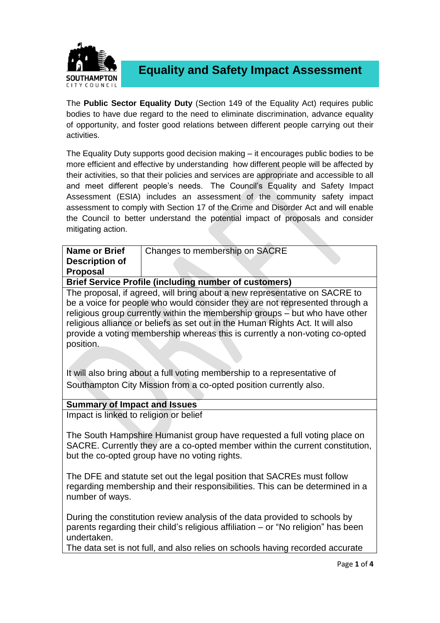

**Equality and Safety Impact Assessment**

The **Public Sector Equality Duty** (Section 149 of the Equality Act) requires public bodies to have due regard to the need to eliminate discrimination, advance equality of opportunity, and foster good relations between different people carrying out their activities.

The Equality Duty supports good decision making – it encourages public bodies to be more efficient and effective by understanding how different people will be affected by their activities, so that their policies and services are appropriate and accessible to all and meet different people's needs. The Council's Equality and Safety Impact Assessment (ESIA) includes an assessment of the community safety impact assessment to comply with Section 17 of the Crime and Disorder Act and will enable the Council to better understand the potential impact of proposals and consider mitigating action.

| <b>Name or Brief</b><br><b>Description of</b><br><b>Proposal</b>                                                                                                                                          | Changes to membership on SACRE                                                                                                                                                                                                                                                                                                                                                                            |  |  |
|-----------------------------------------------------------------------------------------------------------------------------------------------------------------------------------------------------------|-----------------------------------------------------------------------------------------------------------------------------------------------------------------------------------------------------------------------------------------------------------------------------------------------------------------------------------------------------------------------------------------------------------|--|--|
| <b>Brief Service Profile (including number of customers)</b>                                                                                                                                              |                                                                                                                                                                                                                                                                                                                                                                                                           |  |  |
| position.                                                                                                                                                                                                 | The proposal, if agreed, will bring about a new representative on SACRE to<br>be a voice for people who would consider they are not represented through a<br>religious group currently within the membership groups - but who have other<br>religious alliance or beliefs as set out in the Human Rights Act. It will also<br>provide a voting membership whereas this is currently a non-voting co-opted |  |  |
| It will also bring about a full voting membership to a representative of<br>Southampton City Mission from a co-opted position currently also.                                                             |                                                                                                                                                                                                                                                                                                                                                                                                           |  |  |
| <b>Summary of Impact and Issues</b>                                                                                                                                                                       |                                                                                                                                                                                                                                                                                                                                                                                                           |  |  |
| Impact is linked to religion or belief                                                                                                                                                                    |                                                                                                                                                                                                                                                                                                                                                                                                           |  |  |
| The South Hampshire Humanist group have requested a full voting place on<br>SACRE. Currently they are a co-opted member within the current constitution,<br>but the co-opted group have no voting rights. |                                                                                                                                                                                                                                                                                                                                                                                                           |  |  |
| The DFE and statute set out the legal position that SACREs must follow<br>regarding membership and their responsibilities. This can be determined in a<br>number of ways.                                 |                                                                                                                                                                                                                                                                                                                                                                                                           |  |  |
| undertaken.                                                                                                                                                                                               | During the constitution review analysis of the data provided to schools by<br>parents regarding their child's religious affiliation - or "No religion" has been                                                                                                                                                                                                                                           |  |  |
|                                                                                                                                                                                                           | The data set is not full, and also relies on schools having recorded accurate                                                                                                                                                                                                                                                                                                                             |  |  |
|                                                                                                                                                                                                           | Page 1 of 4                                                                                                                                                                                                                                                                                                                                                                                               |  |  |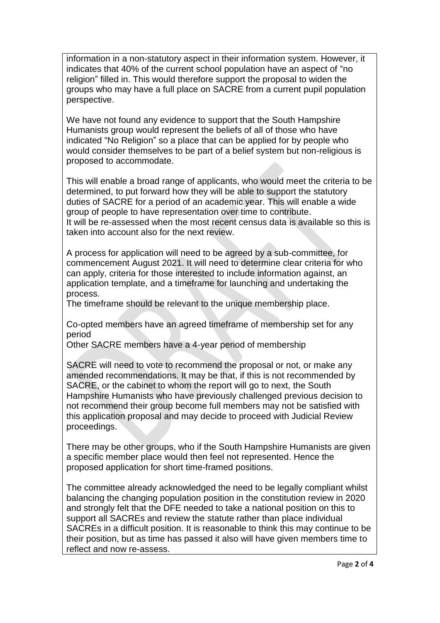information in a non-statutory aspect in their information system. However, it indicates that 40% of the current school population have an aspect of "no religion" filled in. This would therefore support the proposal to widen the groups who may have a full place on SACRE from a current pupil population perspective.

We have not found any evidence to support that the South Hampshire Humanists group would represent the beliefs of all of those who have indicated "No Religion" so a place that can be applied for by people who would consider themselves to be part of a belief system but non-religious is proposed to accommodate.

This will enable a broad range of applicants, who would meet the criteria to be determined, to put forward how they will be able to support the statutory duties of SACRE for a period of an academic year. This will enable a wide group of people to have representation over time to contribute. It will be re-assessed when the most recent census data is available so this is taken into account also for the next review.

A process for application will need to be agreed by a sub-committee, for commencement August 2021. It will need to determine clear criteria for who can apply, criteria for those interested to include information against, an application template, and a timeframe for launching and undertaking the process.

The timeframe should be relevant to the unique membership place.

Co-opted members have an agreed timeframe of membership set for any period

Other SACRE members have a 4-year period of membership

SACRE will need to vote to recommend the proposal or not, or make any amended recommendations. It may be that, if this is not recommended by SACRE, or the cabinet to whom the report will go to next, the South Hampshire Humanists who have previously challenged previous decision to not recommend their group become full members may not be satisfied with this application proposal and may decide to proceed with Judicial Review proceedings.

There may be other groups, who if the South Hampshire Humanists are given a specific member place would then feel not represented. Hence the proposed application for short time-framed positions.

The committee already acknowledged the need to be legally compliant whilst balancing the changing population position in the constitution review in 2020 and strongly felt that the DFE needed to take a national position on this to support all SACREs and review the statute rather than place individual SACREs in a difficult position. It is reasonable to think this may continue to be their position, but as time has passed it also will have given members time to reflect and now re-assess.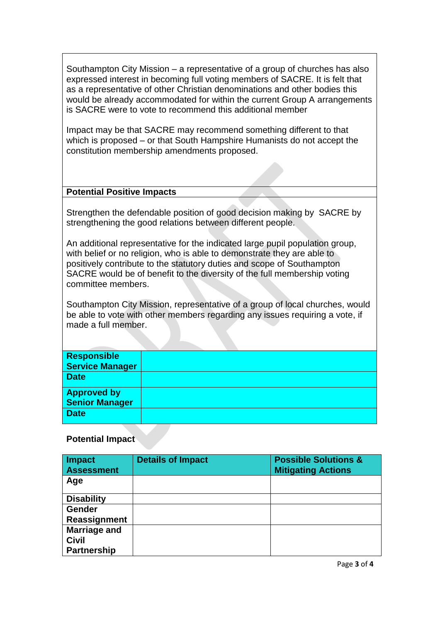Southampton City Mission – a representative of a group of churches has also expressed interest in becoming full voting members of SACRE. It is felt that as a representative of other Christian denominations and other bodies this would be already accommodated for within the current Group A arrangements is SACRE were to vote to recommend this additional member

Impact may be that SACRE may recommend something different to that which is proposed – or that South Hampshire Humanists do not accept the constitution membership amendments proposed.

## **Potential Positive Impacts**

Strengthen the defendable position of good decision making by SACRE by strengthening the good relations between different people.

An additional representative for the indicated large pupil population group, with belief or no religion, who is able to demonstrate they are able to positively contribute to the statutory duties and scope of Southampton SACRE would be of benefit to the diversity of the full membership voting committee members.

Southampton City Mission, representative of a group of local churches, would be able to vote with other members regarding any issues requiring a vote, if made a full member.

## **Potential Impact**

| <b>Impact</b><br><b>Assessment</b> | <b>Details of Impact</b> | <b>Possible Solutions &amp;</b><br><b>Mitigating Actions</b> |
|------------------------------------|--------------------------|--------------------------------------------------------------|
| Age                                |                          |                                                              |
| <b>Disability</b>                  |                          |                                                              |
| <b>Gender</b>                      |                          |                                                              |
| Reassignment                       |                          |                                                              |
| <b>Marriage and</b>                |                          |                                                              |
| <b>Civil</b>                       |                          |                                                              |
| <b>Partnership</b>                 |                          |                                                              |